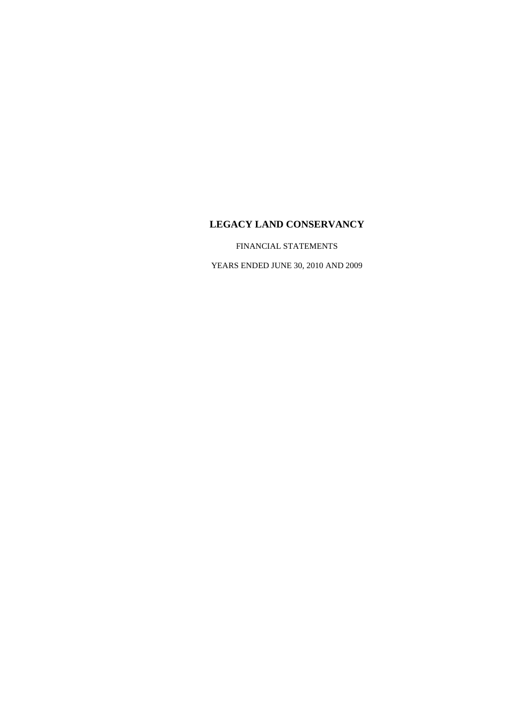FINANCIAL STATEMENTS

YEARS ENDED JUNE 30, 2010 AND 2009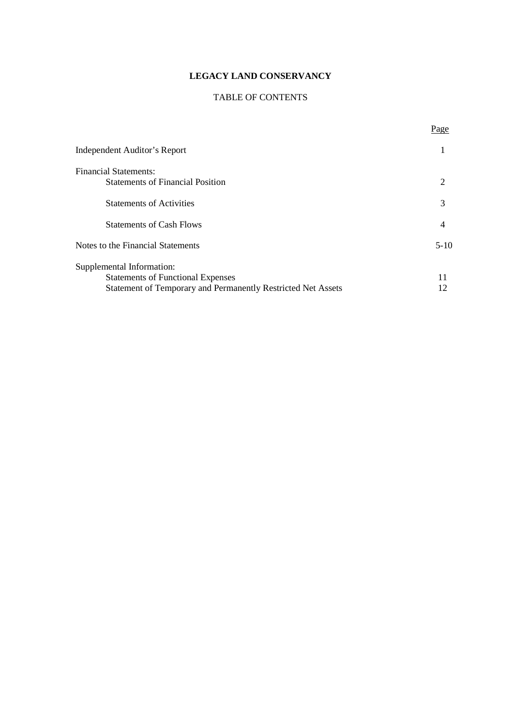## TABLE OF CONTENTS

Page

| <b>Independent Auditor's Report</b>                          |          |
|--------------------------------------------------------------|----------|
| <b>Financial Statements:</b>                                 |          |
| <b>Statements of Financial Position</b>                      | 2        |
| <b>Statements of Activities</b>                              | 3        |
| <b>Statements of Cash Flows</b>                              | 4        |
| Notes to the Financial Statements                            | $5 - 10$ |
| Supplemental Information:                                    |          |
| <b>Statements of Functional Expenses</b>                     |          |
| Statement of Temporary and Permanently Restricted Net Assets | 12       |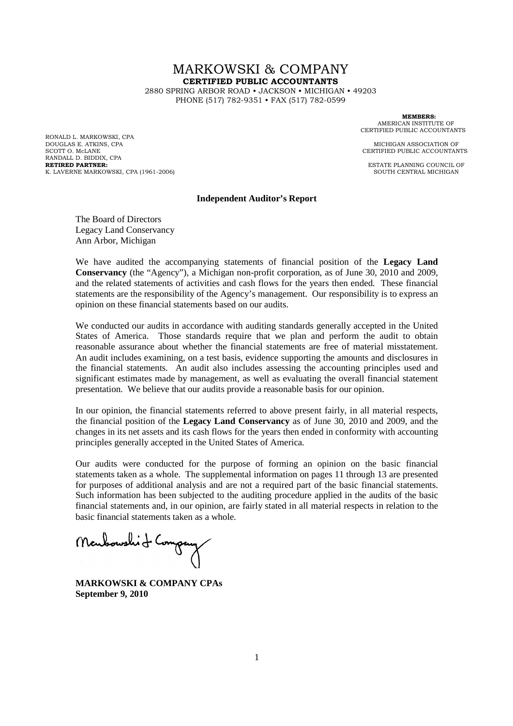# MARKOWSKI & COMPANY **CERTIFIED PUBLIC ACCOUNTANTS**

2880 SPRING ARBOR ROAD • JACKSON • MICHIGAN • 49203 PHONE (517) 782-9351 • FAX (517) 782-0599

RONALD L. MARKOWSKI, CPA DOUGLAS E. ATKINS, CPA **MICHIGAN ASSOCIATION OF** SCOTT O. McLANE CERTIFIED PUBLIC ACCOUNTANTS RANDALL D. BIDDIX, CPA<br>RETIRED PARTNER: K. LAVERNE MARKOWSKI, CPA (1961-2006)

**MEMBERS:** AMERICAN INSTITUTE OF CERTIFIED PUBLIC ACCOUNTANTS

**ESTATE PLANNING COUNCIL OF SOUTH CENTRAL MICHIGAN** 

#### **Independent Auditor's Report**

The Board of Directors Legacy Land Conservancy Ann Arbor, Michigan

We have audited the accompanying statements of financial position of the **Legacy Land Conservancy** (the "Agency"), a Michigan non-profit corporation, as of June 30, 2010 and 2009, and the related statements of activities and cash flows for the years then ended. These financial statements are the responsibility of the Agency's management. Our responsibility is to express an opinion on these financial statements based on our audits.

We conducted our audits in accordance with auditing standards generally accepted in the United States of America. Those standards require that we plan and perform the audit to obtain reasonable assurance about whether the financial statements are free of material misstatement. An audit includes examining, on a test basis, evidence supporting the amounts and disclosures in the financial statements. An audit also includes assessing the accounting principles used and significant estimates made by management, as well as evaluating the overall financial statement presentation. We believe that our audits provide a reasonable basis for our opinion.

In our opinion, the financial statements referred to above present fairly, in all material respects, the financial position of the **Legacy Land Conservancy** as of June 30, 2010 and 2009, and the changes in its net assets and its cash flows for the years then ended in conformity with accounting principles generally accepted in the United States of America.

Our audits were conducted for the purpose of forming an opinion on the basic financial statements taken as a whole. The supplemental information on pages 11 through 13 are presented for purposes of additional analysis and are not a required part of the basic financial statements. Such information has been subjected to the auditing procedure applied in the audits of the basic financial statements and, in our opinion, are fairly stated in all material respects in relation to the basic financial statements taken as a whole.

Monhoushit Company

**MARKOWSKI & COMPANY CPAs September 9, 2010**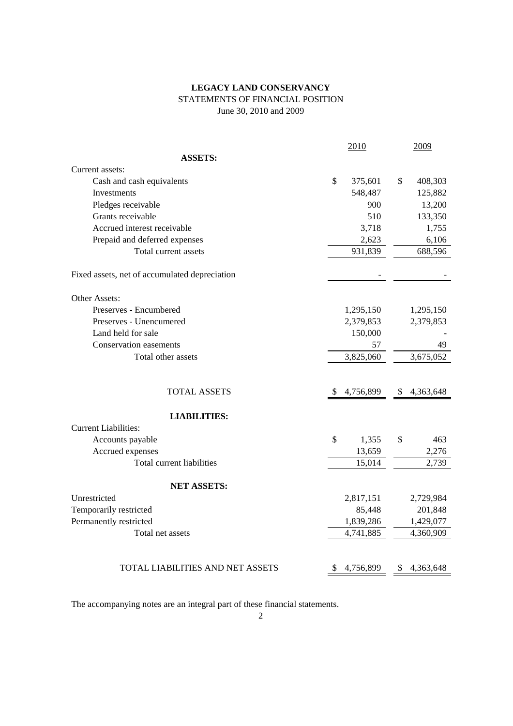## **LEGACY LAND CONSERVANCY** STATEMENTS OF FINANCIAL POSITION June 30, 2010 and 2009

|                                               |               | 2010      | 2009            |
|-----------------------------------------------|---------------|-----------|-----------------|
| <b>ASSETS:</b>                                |               |           |                 |
| Current assets:                               |               |           |                 |
| Cash and cash equivalents                     | \$            | 375,601   | \$<br>408,303   |
| <b>Investments</b>                            |               | 548,487   | 125,882         |
| Pledges receivable                            |               | 900       | 13,200          |
| Grants receivable                             |               | 510       | 133,350         |
| Accrued interest receivable                   |               | 3,718     | 1,755           |
| Prepaid and deferred expenses                 |               | 2,623     | 6,106           |
| Total current assets                          |               | 931,839   | 688,596         |
| Fixed assets, net of accumulated depreciation |               |           |                 |
| Other Assets:                                 |               |           |                 |
| Preserves - Encumbered                        |               | 1,295,150 | 1,295,150       |
| Preserves - Unencumered                       |               | 2,379,853 | 2,379,853       |
| Land held for sale                            |               | 150,000   |                 |
| Conservation easements                        |               | 57        | 49              |
| Total other assets                            |               | 3,825,060 | 3,675,052       |
|                                               |               |           |                 |
| <b>TOTAL ASSETS</b>                           | <sup>\$</sup> | 4,756,899 | \$<br>4,363,648 |
| <b>LIABILITIES:</b>                           |               |           |                 |
| <b>Current Liabilities:</b>                   |               |           |                 |
| Accounts payable                              | \$            | 1,355     | \$<br>463       |
| Accrued expenses                              |               | 13,659    | 2,276           |
| Total current liabilities                     |               | 15,014    | 2,739           |
| <b>NET ASSETS:</b>                            |               |           |                 |
| Unrestricted                                  |               | 2,817,151 | 2,729,984       |
| Temporarily restricted                        |               | 85,448    | 201,848         |
| Permanently restricted                        |               | 1,839,286 | 1,429,077       |
| Total net assets                              |               | 4,741,885 | 4,360,909       |
|                                               |               |           |                 |
| TOTAL LIABILITIES AND NET ASSETS              | \$            | 4,756,899 | \$<br>4,363,648 |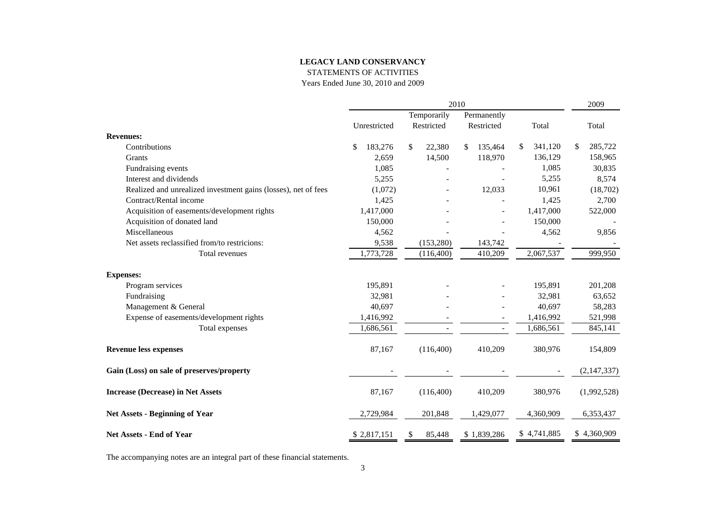STATEMENTS OF ACTIVITIES

Years Ended June 30, 2010 and 2009

|                                                                |               |              | 2009          |               |               |
|----------------------------------------------------------------|---------------|--------------|---------------|---------------|---------------|
|                                                                |               | Temporarily  | Permanently   |               |               |
|                                                                | Unrestricted  | Restricted   | Restricted    | Total         | Total         |
| <b>Revenues:</b>                                               |               |              |               |               |               |
| Contributions                                                  | 183,276<br>\$ | \$<br>22,380 | \$<br>135,464 | \$<br>341,120 | \$<br>285,722 |
| Grants                                                         | 2,659         | 14,500       | 118,970       | 136,129       | 158,965       |
| Fundraising events                                             | 1,085         |              |               | 1,085         | 30,835        |
| Interest and dividends                                         | 5,255         |              |               | 5,255         | 8,574         |
| Realized and unrealized investment gains (losses), net of fees | (1,072)       |              | 12,033        | 10,961        | (18,702)      |
| Contract/Rental income                                         | 1,425         |              |               | 1,425         | 2,700         |
| Acquisition of easements/development rights                    | 1,417,000     |              |               | 1,417,000     | 522,000       |
| Acquisition of donated land                                    | 150,000       |              |               | 150,000       |               |
| Miscellaneous                                                  | 4,562         |              |               | 4,562         | 9,856         |
| Net assets reclassified from/to restricions:                   | 9,538         | (153, 280)   | 143,742       |               |               |
| Total revenues                                                 | 1,773,728     | (116,400)    | 410,209       | 2,067,537     | 999,950       |
| <b>Expenses:</b>                                               |               |              |               |               |               |
| Program services                                               | 195,891       |              |               | 195,891       | 201,208       |
| Fundraising                                                    | 32,981        |              |               | 32,981        | 63,652        |
| Management & General                                           | 40,697        |              |               | 40,697        | 58,283        |
| Expense of easements/development rights                        | 1,416,992     |              |               | 1,416,992     | 521,998       |
| Total expenses                                                 | 1,686,561     |              | $\sim$        | 1,686,561     | 845,141       |
| <b>Revenue less expenses</b>                                   | 87,167        | (116,400)    | 410,209       | 380,976       | 154,809       |
| Gain (Loss) on sale of preserves/property                      |               |              |               |               | (2, 147, 337) |
| <b>Increase (Decrease) in Net Assets</b>                       | 87,167        | (116,400)    | 410,209       | 380,976       | (1,992,528)   |
| <b>Net Assets - Beginning of Year</b>                          | 2,729,984     | 201,848      | 1,429,077     | 4,360,909     | 6,353,437     |
| Net Assets - End of Year                                       | \$2,817,151   | 85,448<br>\$ | \$1,839,286   | \$4,741,885   | \$4,360,909   |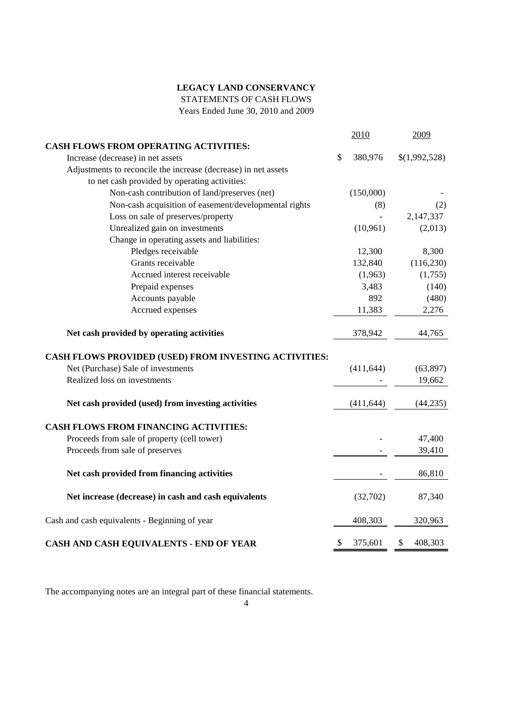STATEMENTS OF CASH FLOWS

Years Ended June 30, 2010 and 2009

|                                                                |               | 2010       | 2009          |
|----------------------------------------------------------------|---------------|------------|---------------|
| <b>CASH FLOWS FROM OPERATING ACTIVITIES:</b>                   |               |            |               |
| Increase (decrease) in net assets                              | $\mathcal{S}$ | 380,976    | \$(1,992,528) |
| Adjustments to reconcile the increase (decrease) in net assets |               |            |               |
| to net cash provided by operating activities:                  |               |            |               |
| Non-cash contribution of land/preserves (net)                  |               | (150,000)  |               |
| Non-cash acquisition of easement/developmental rights          |               | (8)        | (2)           |
| Loss on sale of preserves/property                             |               |            | 2,147,337     |
| Unrealized gain on investments                                 |               | (10, 961)  | (2,013)       |
| Change in operating assets and liabilities:                    |               |            |               |
| Pledges receivable                                             |               | 12,300     | 8,300         |
| Grants receivable                                              |               | 132,840    | (116, 230)    |
| Accrued interest receivable                                    |               | (1,963)    | (1,755)       |
| Prepaid expenses                                               |               | 3,483      | (140)         |
| Accounts payable                                               |               | 892        | (480)         |
| Accrued expenses                                               |               | 11,383     | 2,276         |
| Net cash provided by operating activities                      |               | 378,942    | 44,765        |
| CASH FLOWS PROVIDED (USED) FROM INVESTING ACTIVITIES:          |               |            |               |
| Net (Purchase) Sale of investments                             |               | (411, 644) | (63, 897)     |
| Realized loss on investments                                   |               |            | 19,662        |
| Net cash provided (used) from investing activities             |               | (411, 644) | (44,235)      |
| <b>CASH FLOWS FROM FINANCING ACTIVITIES:</b>                   |               |            |               |
| Proceeds from sale of property (cell tower)                    |               |            | 47,400        |
| Proceeds from sale of preserves                                |               |            | 39,410        |
| Net cash provided from financing activities                    |               |            | 86,810        |
| Net increase (decrease) in cash and cash equivalents           |               | (32,702)   | 87,340        |
| Cash and cash equivalents - Beginning of year                  |               | 408,303    | 320,963       |
| CASH AND CASH EQUIVALENTS - END OF YEAR                        | \$            | 375,601    | \$<br>408,303 |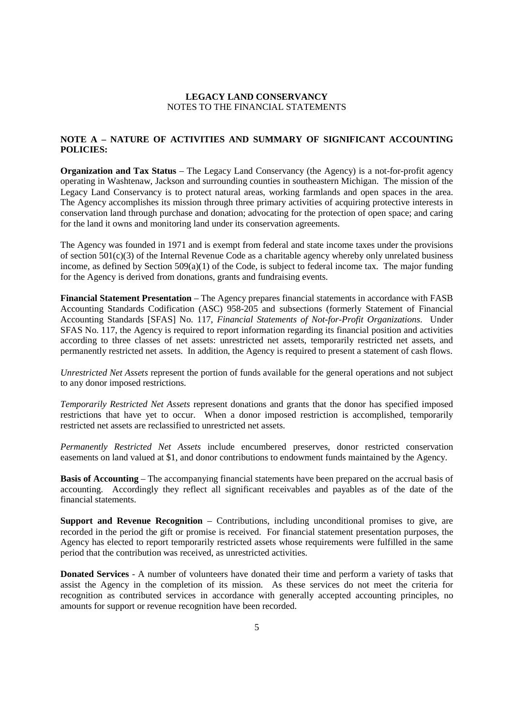### **NOTE A – NATURE OF ACTIVITIES AND SUMMARY OF SIGNIFICANT ACCOUNTING POLICIES:**

**Organization and Tax Status** – The Legacy Land Conservancy (the Agency) is a not-for-profit agency operating in Washtenaw, Jackson and surrounding counties in southeastern Michigan. The mission of the Legacy Land Conservancy is to protect natural areas, working farmlands and open spaces in the area. The Agency accomplishes its mission through three primary activities of acquiring protective interests in conservation land through purchase and donation; advocating for the protection of open space; and caring for the land it owns and monitoring land under its conservation agreements.

The Agency was founded in 1971 and is exempt from federal and state income taxes under the provisions of section 501(c)(3) of the Internal Revenue Code as a charitable agency whereby only unrelated business income, as defined by Section 509(a)(1) of the Code, is subject to federal income tax. The major funding for the Agency is derived from donations, grants and fundraising events.

**Financial Statement Presentation** – The Agency prepares financial statements in accordance with FASB Accounting Standards Codification (ASC) 958-205 and subsections (formerly Statement of Financial Accounting Standards [SFAS] No. 117, *Financial Statements of Not-for-Profit Organizations*. Under SFAS No. 117, the Agency is required to report information regarding its financial position and activities according to three classes of net assets: unrestricted net assets, temporarily restricted net assets, and permanently restricted net assets. In addition, the Agency is required to present a statement of cash flows.

*Unrestricted Net Assets* represent the portion of funds available for the general operations and not subject to any donor imposed restrictions.

*Temporarily Restricted Net Assets* represent donations and grants that the donor has specified imposed restrictions that have yet to occur. When a donor imposed restriction is accomplished, temporarily restricted net assets are reclassified to unrestricted net assets.

*Permanently Restricted Net Assets* include encumbered preserves, donor restricted conservation easements on land valued at \$1, and donor contributions to endowment funds maintained by the Agency.

**Basis of Accounting** – The accompanying financial statements have been prepared on the accrual basis of accounting. Accordingly they reflect all significant receivables and payables as of the date of the financial statements.

**Support and Revenue Recognition** – Contributions, including unconditional promises to give, are recorded in the period the gift or promise is received. For financial statement presentation purposes, the Agency has elected to report temporarily restricted assets whose requirements were fulfilled in the same period that the contribution was received, as unrestricted activities.

**Donated Services** - A number of volunteers have donated their time and perform a variety of tasks that assist the Agency in the completion of its mission. As these services do not meet the criteria for recognition as contributed services in accordance with generally accepted accounting principles, no amounts for support or revenue recognition have been recorded.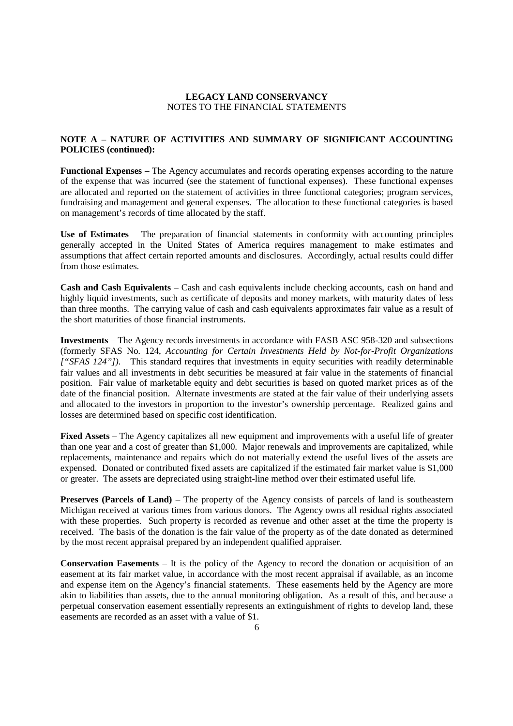### **NOTE A – NATURE OF ACTIVITIES AND SUMMARY OF SIGNIFICANT ACCOUNTING POLICIES (continued):**

**Functional Expenses** – The Agency accumulates and records operating expenses according to the nature of the expense that was incurred (see the statement of functional expenses). These functional expenses are allocated and reported on the statement of activities in three functional categories; program services, fundraising and management and general expenses. The allocation to these functional categories is based on management's records of time allocated by the staff.

**Use of Estimates** – The preparation of financial statements in conformity with accounting principles generally accepted in the United States of America requires management to make estimates and assumptions that affect certain reported amounts and disclosures. Accordingly, actual results could differ from those estimates.

**Cash and Cash Equivalents** – Cash and cash equivalents include checking accounts, cash on hand and highly liquid investments, such as certificate of deposits and money markets, with maturity dates of less than three months. The carrying value of cash and cash equivalents approximates fair value as a result of the short maturities of those financial instruments.

**Investments** – The Agency records investments in accordance with FASB ASC 958-320 and subsections (formerly SFAS No. 124, *Accounting for Certain Investments Held by Not-for-Profit Organizations ["SFAS 124"]).* This standard requires that investments in equity securities with readily determinable fair values and all investments in debt securities be measured at fair value in the statements of financial position. Fair value of marketable equity and debt securities is based on quoted market prices as of the date of the financial position. Alternate investments are stated at the fair value of their underlying assets and allocated to the investors in proportion to the investor's ownership percentage. Realized gains and losses are determined based on specific cost identification.

**Fixed Assets** – The Agency capitalizes all new equipment and improvements with a useful life of greater than one year and a cost of greater than \$1,000. Major renewals and improvements are capitalized, while replacements, maintenance and repairs which do not materially extend the useful lives of the assets are expensed. Donated or contributed fixed assets are capitalized if the estimated fair market value is \$1,000 or greater. The assets are depreciated using straight-line method over their estimated useful life.

**Preserves (Parcels of Land)** – The property of the Agency consists of parcels of land is southeastern Michigan received at various times from various donors. The Agency owns all residual rights associated with these properties. Such property is recorded as revenue and other asset at the time the property is received. The basis of the donation is the fair value of the property as of the date donated as determined by the most recent appraisal prepared by an independent qualified appraiser.

**Conservation Easements** – It is the policy of the Agency to record the donation or acquisition of an easement at its fair market value, in accordance with the most recent appraisal if available, as an income and expense item on the Agency's financial statements. These easements held by the Agency are more akin to liabilities than assets, due to the annual monitoring obligation. As a result of this, and because a perpetual conservation easement essentially represents an extinguishment of rights to develop land, these easements are recorded as an asset with a value of \$1.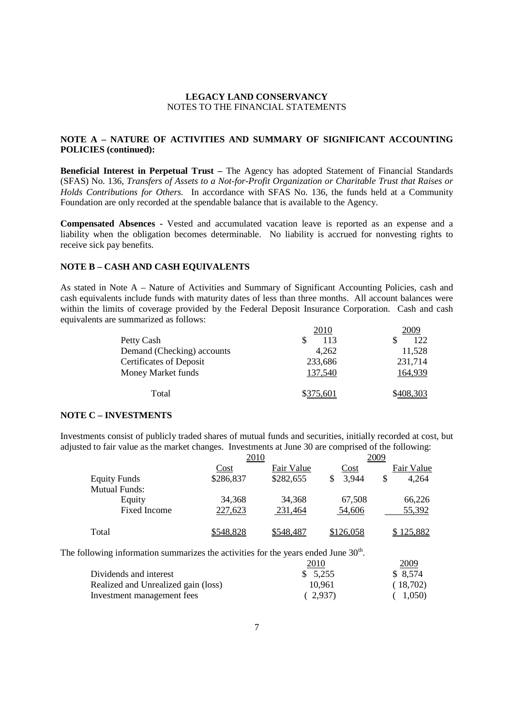### **NOTE A – NATURE OF ACTIVITIES AND SUMMARY OF SIGNIFICANT ACCOUNTING POLICIES (continued):**

**Beneficial Interest in Perpetual Trust –** The Agency has adopted Statement of Financial Standards (SFAS) No. 136, *Transfers of Assets to a Not-for-Profit Organization or Charitable Trust that Raises or Holds Contributions for Others.* In accordance with SFAS No. 136, the funds held at a Community Foundation are only recorded at the spendable balance that is available to the Agency.

**Compensated Absences -** Vested and accumulated vacation leave is reported as an expense and a liability when the obligation becomes determinable. No liability is accrued for nonvesting rights to receive sick pay benefits.

#### **NOTE B – CASH AND CASH EQUIVALENTS**

As stated in Note A – Nature of Activities and Summary of Significant Accounting Policies, cash and cash equivalents include funds with maturity dates of less than three months. All account balances were within the limits of coverage provided by the Federal Deposit Insurance Corporation. Cash and cash equivalents are summarized as follows:

| 2010      | 2009      |
|-----------|-----------|
| 113       | 122       |
| 4,262     | 11,528    |
| 233,686   | 231,714   |
| 137,540   | 164,939   |
| \$375,601 | \$408,303 |
|           |           |

#### **NOTE C – INVESTMENTS**

Investments consist of publicly traded shares of mutual funds and securities, initially recorded at cost, but adjusted to fair value as the market changes. Investments at June 30 are comprised of the following:

|                      | 2010      |            | 2009      |             |  |  |
|----------------------|-----------|------------|-----------|-------------|--|--|
|                      | Cost      | Fair Value | Cost      | Fair Value  |  |  |
| <b>Equity Funds</b>  | \$286,837 | \$282,655  | 3,944     | \$<br>4.264 |  |  |
| <b>Mutual Funds:</b> |           |            |           |             |  |  |
| Equity               | 34,368    | 34,368     | 67.508    | 66,226      |  |  |
| <b>Fixed Income</b>  | 227,623   | 231,464    | 54,606    | 55,392      |  |  |
| Total                | \$548,828 | \$548,487  | \$126,058 | \$125,882   |  |  |

The following information summarizes the activities for the years ended June  $30<sup>th</sup>$ .

|                                     | <u>2010</u> | 2009     |
|-------------------------------------|-------------|----------|
| Dividends and interest              | \$5.255     | \$ 8.574 |
| Realized and Unrealized gain (loss) | 10.961      | (18,702) |
| Investment management fees          | (2.937)     | (1,050)  |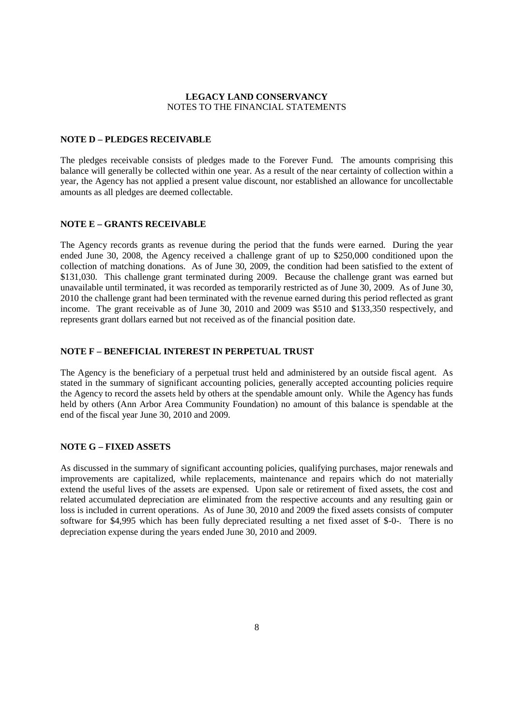#### **NOTE D – PLEDGES RECEIVABLE**

The pledges receivable consists of pledges made to the Forever Fund. The amounts comprising this balance will generally be collected within one year. As a result of the near certainty of collection within a year, the Agency has not applied a present value discount, nor established an allowance for uncollectable amounts as all pledges are deemed collectable.

#### **NOTE E – GRANTS RECEIVABLE**

The Agency records grants as revenue during the period that the funds were earned. During the year ended June 30, 2008, the Agency received a challenge grant of up to \$250,000 conditioned upon the collection of matching donations. As of June 30, 2009, the condition had been satisfied to the extent of \$131,030. This challenge grant terminated during 2009. Because the challenge grant was earned but unavailable until terminated, it was recorded as temporarily restricted as of June 30, 2009. As of June 30, 2010 the challenge grant had been terminated with the revenue earned during this period reflected as grant income. The grant receivable as of June 30, 2010 and 2009 was \$510 and \$133,350 respectively, and represents grant dollars earned but not received as of the financial position date.

#### **NOTE F – BENEFICIAL INTEREST IN PERPETUAL TRUST**

The Agency is the beneficiary of a perpetual trust held and administered by an outside fiscal agent. As stated in the summary of significant accounting policies, generally accepted accounting policies require the Agency to record the assets held by others at the spendable amount only. While the Agency has funds held by others (Ann Arbor Area Community Foundation) no amount of this balance is spendable at the end of the fiscal year June 30, 2010 and 2009.

#### **NOTE G – FIXED ASSETS**

As discussed in the summary of significant accounting policies, qualifying purchases, major renewals and improvements are capitalized, while replacements, maintenance and repairs which do not materially extend the useful lives of the assets are expensed. Upon sale or retirement of fixed assets, the cost and related accumulated depreciation are eliminated from the respective accounts and any resulting gain or loss is included in current operations. As of June 30, 2010 and 2009 the fixed assets consists of computer software for \$4,995 which has been fully depreciated resulting a net fixed asset of \$-0-. There is no depreciation expense during the years ended June 30, 2010 and 2009.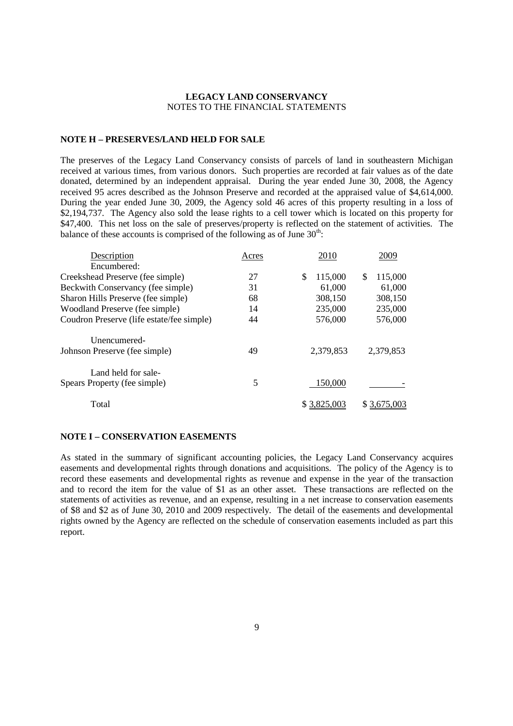### **NOTE H – PRESERVES/LAND HELD FOR SALE**

The preserves of the Legacy Land Conservancy consists of parcels of land in southeastern Michigan received at various times, from various donors. Such properties are recorded at fair values as of the date donated, determined by an independent appraisal. During the year ended June 30, 2008, the Agency received 95 acres described as the Johnson Preserve and recorded at the appraised value of \$4,614,000. During the year ended June 30, 2009, the Agency sold 46 acres of this property resulting in a loss of \$2,194,737. The Agency also sold the lease rights to a cell tower which is located on this property for \$47,400. This net loss on the sale of preserves/property is reflected on the statement of activities. The balance of these accounts is comprised of the following as of June  $30<sup>th</sup>$ .

| Acres | 2010           | 2009          |
|-------|----------------|---------------|
|       |                |               |
| 27    | \$.<br>115,000 | 115,000<br>\$ |
| 31    | 61,000         | 61,000        |
| 68    | 308,150        | 308,150       |
| 14    | 235,000        | 235,000       |
| 44    | 576,000        | 576,000       |
|       |                |               |
| 49    | 2,379,853      | 2,379,853     |
|       |                |               |
| 5     | 150,000        |               |
|       | \$3,825,003    | \$3,675,003   |
|       |                |               |

#### **NOTE I – CONSERVATION EASEMENTS**

As stated in the summary of significant accounting policies, the Legacy Land Conservancy acquires easements and developmental rights through donations and acquisitions. The policy of the Agency is to record these easements and developmental rights as revenue and expense in the year of the transaction and to record the item for the value of \$1 as an other asset. These transactions are reflected on the statements of activities as revenue, and an expense, resulting in a net increase to conservation easements of \$8 and \$2 as of June 30, 2010 and 2009 respectively. The detail of the easements and developmental rights owned by the Agency are reflected on the schedule of conservation easements included as part this report.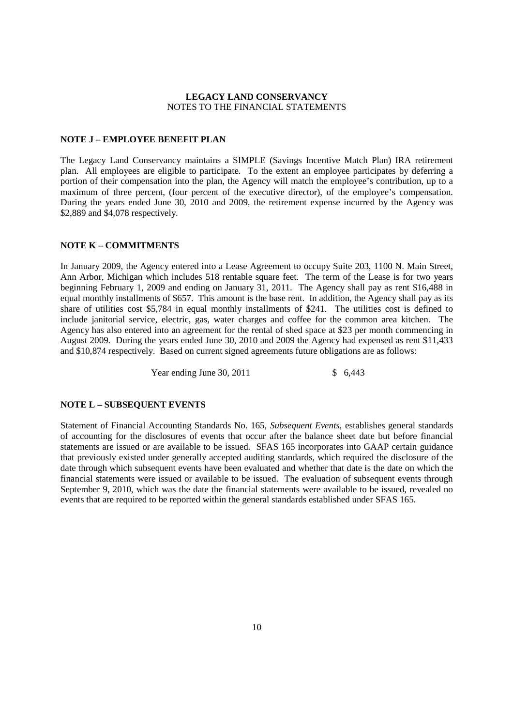#### **NOTE J – EMPLOYEE BENEFIT PLAN**

The Legacy Land Conservancy maintains a SIMPLE (Savings Incentive Match Plan) IRA retirement plan. All employees are eligible to participate. To the extent an employee participates by deferring a portion of their compensation into the plan, the Agency will match the employee's contribution, up to a maximum of three percent, (four percent of the executive director), of the employee's compensation. During the years ended June 30, 2010 and 2009, the retirement expense incurred by the Agency was \$2,889 and \$4,078 respectively.

### **NOTE K – COMMITMENTS**

In January 2009, the Agency entered into a Lease Agreement to occupy Suite 203, 1100 N. Main Street, Ann Arbor, Michigan which includes 518 rentable square feet. The term of the Lease is for two years beginning February 1, 2009 and ending on January 31, 2011. The Agency shall pay as rent \$16,488 in equal monthly installments of \$657. This amount is the base rent. In addition, the Agency shall pay as its share of utilities cost \$5,784 in equal monthly installments of \$241. The utilities cost is defined to include janitorial service, electric, gas, water charges and coffee for the common area kitchen. The Agency has also entered into an agreement for the rental of shed space at \$23 per month commencing in August 2009. During the years ended June 30, 2010 and 2009 the Agency had expensed as rent \$11,433 and \$10,874 respectively. Based on current signed agreements future obligations are as follows:

Year ending June 30, 2011 \$ 6,443

#### **NOTE L – SUBSEQUENT EVENTS**

Statement of Financial Accounting Standards No. 165, *Subsequent Events,* establishes general standards of accounting for the disclosures of events that occur after the balance sheet date but before financial statements are issued or are available to be issued. SFAS 165 incorporates into GAAP certain guidance that previously existed under generally accepted auditing standards, which required the disclosure of the date through which subsequent events have been evaluated and whether that date is the date on which the financial statements were issued or available to be issued. The evaluation of subsequent events through September 9, 2010, which was the date the financial statements were available to be issued, revealed no events that are required to be reported within the general standards established under SFAS 165.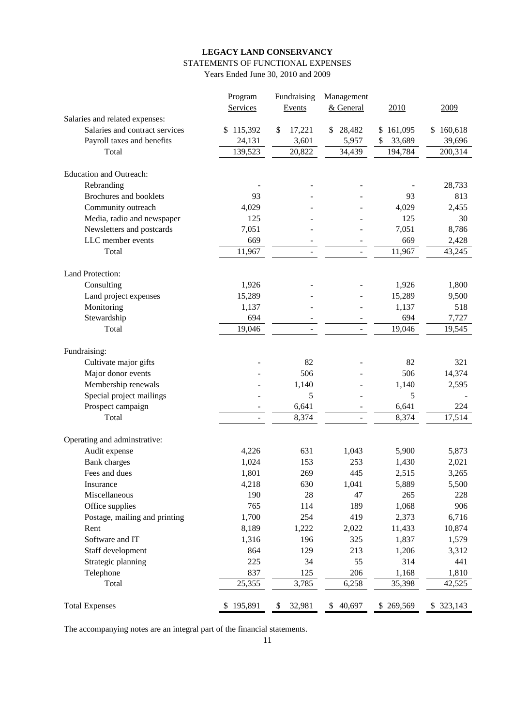# **LEGACY LAND CONSERVANCY** STATEMENTS OF FUNCTIONAL EXPENSES

Years Ended June 30, 2010 and 2009

|                                      | Program        | Fundraising  | Management               |                |                |
|--------------------------------------|----------------|--------------|--------------------------|----------------|----------------|
|                                      | Services       | Events       | & General                | 2010           | 2009           |
| Salaries and related expenses:       |                |              |                          |                |                |
| Salaries and contract services       | 115,392<br>\$  | \$<br>17,221 | 28,482<br>\$             | \$161,095      | 160,618<br>\$  |
| Payroll taxes and benefits           | 24,131         | 3,601        | 5,957                    | 33,689<br>\$   | 39,696         |
| Total                                | 139,523        | 20,822       | 34,439                   | 194,784        | 200,314        |
|                                      |                |              |                          |                |                |
| <b>Education and Outreach:</b>       |                |              |                          |                |                |
| Rebranding                           |                |              |                          |                | 28,733         |
| Brochures and booklets               | 93             |              |                          | 93             | 813            |
| Community outreach                   | 4,029          |              |                          | 4,029          | 2,455          |
| Media, radio and newspaper           | 125            |              |                          | 125            | 30             |
| Newsletters and postcards            | 7,051          |              |                          | 7,051          | 8,786          |
| LLC member events                    | 669            |              | $\overline{\phantom{a}}$ | 669            | 2,428          |
| Total                                | 11,967         |              |                          | 11,967         | 43,245         |
|                                      |                |              |                          |                |                |
| Land Protection:                     |                |              |                          |                |                |
| Consulting                           | 1,926          |              |                          | 1,926          | 1,800          |
| Land project expenses                | 15,289         |              |                          | 15,289         | 9,500          |
| Monitoring                           | 1,137          |              |                          | 1,137          | 518            |
| Stewardship                          | 694            |              |                          | 694            | 7,727          |
| Total                                | 19,046         |              |                          | 19,046         | 19,545         |
|                                      |                |              |                          |                |                |
| Fundraising:                         |                |              |                          |                |                |
| Cultivate major gifts                |                | 82           |                          | 82             | 321            |
| Major donor events                   |                | 506          |                          | 506            | 14,374         |
| Membership renewals                  |                | 1,140        |                          | 1,140          | 2,595          |
| Special project mailings             |                | 5            |                          | 5              |                |
| Prospect campaign                    |                | 6,641        |                          | 6,641          | 224            |
| Total                                |                | 8,374        |                          | 8,374          | 17,514         |
|                                      |                |              |                          |                |                |
| Operating and adminstrative:         |                | 631          | 1,043                    | 5,900          | 5,873          |
| Audit expense                        | 4,226          |              | 253                      |                |                |
| <b>Bank</b> charges<br>Fees and dues | 1,024<br>1,801 | 153<br>269   | 445                      | 1,430          | 2,021          |
| Insurance                            | 4,218          | 630          | 1,041                    | 2,515<br>5,889 | 3,265<br>5,500 |
| Miscellaneous                        | 190            | 28           | 47                       | 265            | 228            |
| Office supplies                      | 765            | 114          | 189                      | 1,068          | 906            |
| Postage, mailing and printing        | 1,700          | 254          | 419                      | 2,373          | 6,716          |
| Rent                                 |                |              |                          |                |                |
|                                      | 8,189          | 1,222        | 2,022                    | 11,433         | 10,874         |
| Software and IT                      | 1,316          | 196          | 325                      | 1,837          | 1,579          |
| Staff development                    | 864            | 129          | 213                      | 1,206          | 3,312          |
| Strategic planning                   | 225            | 34           | 55                       | 314            | 441            |
| Telephone                            | 837            | 125          | 206                      | 1,168          | 1,810          |
| Total                                | 25,355         | 3,785        | 6,258                    | 35,398         | 42,525         |
| <b>Total Expenses</b>                | \$195,891      | 32,981<br>\$ | \$<br>40,697             | \$269,569      | \$323,143      |